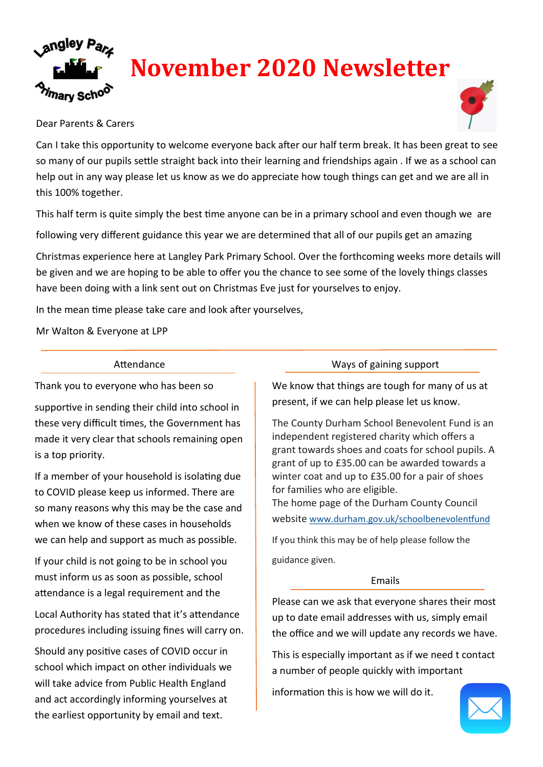

## Dear Parents & Carers

Can I take this opportunity to welcome everyone back after our half term break. It has been great to see so many of our pupils settle straight back into their learning and friendships again . If we as a school can help out in any way please let us know as we do appreciate how tough things can get and we are all in this 100% together.

This half term is quite simply the best time anyone can be in a primary school and even though we are

following very different guidance this year we are determined that all of our pupils get an amazing

Christmas experience here at Langley Park Primary School. Over the forthcoming weeks more details will be given and we are hoping to be able to offer you the chance to see some of the lovely things classes have been doing with a link sent out on Christmas Eve just for yourselves to enjoy.

In the mean time please take care and look after yourselves,

Mr Walton & Everyone at LPP

## Attendance

Thank you to everyone who has been so

supportive in sending their child into school in these very difficult times, the Government has made it very clear that schools remaining open is a top priority.

If a member of your household is isolating due to COVID please keep us informed. There are so many reasons why this may be the case and when we know of these cases in households we can help and support as much as possible.

If your child is not going to be in school you must inform us as soon as possible, school attendance is a legal requirement and the

Local Authority has stated that it's attendance procedures including issuing fines will carry on.

Should any positive cases of COVID occur in school which impact on other individuals we will take advice from Public Health England and act accordingly informing yourselves at the earliest opportunity by email and text.

#### Ways of gaining support

We know that things are tough for many of us at present, if we can help please let us know.

The County Durham School Benevolent Fund is an independent registered charity which offers a grant towards shoes and coats for school pupils. A grant of up to £35.00 can be awarded towards a winter coat and up to £35.00 for a pair of shoes for families who are eligible. The home page of the Durham County Council website [www.durham.gov.uk/schoolbenevolentfund](http://www.durham.gov.uk/schoolbenevolentfund)

If you think this may be of help please follow the guidance given.

## Emails

Please can we ask that everyone shares their most up to date email addresses with us, simply email the office and we will update any records we have.

This is especially important as if we need t contact a number of people quickly with important

information this is how we will do it.

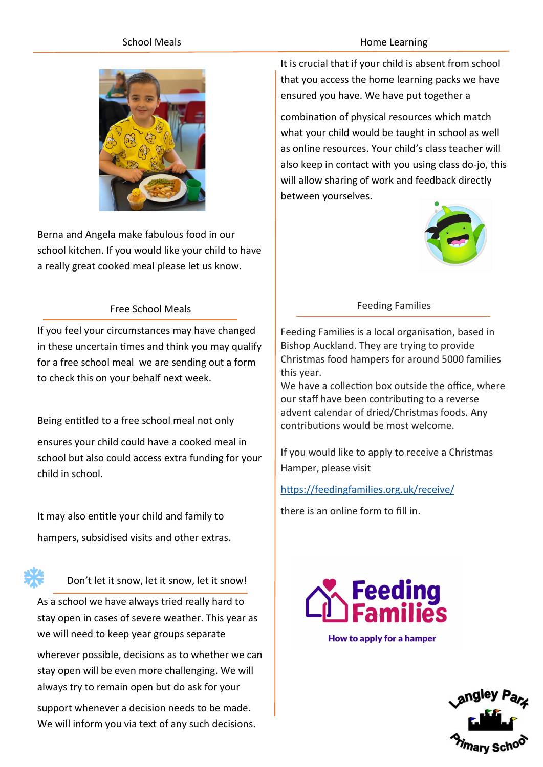## School Meals



Berna and Angela make fabulous food in our school kitchen. If you would like your child to have a really great cooked meal please let us know.

## Free School Meals

If you feel your circumstances may have changed in these uncertain times and think you may qualify for a free school meal we are sending out a form to check this on your behalf next week.

Being entitled to a free school meal not only ensures your child could have a cooked meal in school but also could access extra funding for your child in school.

It may also entitle your child and family to hampers, subsidised visits and other extras.



Don't let it snow, let it snow, let it snow!

As a school we have always tried really hard to stay open in cases of severe weather. This year as we will need to keep year groups separate

wherever possible, decisions as to whether we can stay open will be even more challenging. We will always try to remain open but do ask for your

support whenever a decision needs to be made. We will inform you via text of any such decisions.

#### Home Learning

It is crucial that if your child is absent from school that you access the home learning packs we have ensured you have. We have put together a

combination of physical resources which match what your child would be taught in school as well as online resources. Your child's class teacher will also keep in contact with you using class do-jo, this will allow sharing of work and feedback directly between yourselves.



#### Feeding Families

Feeding Families is a local organisation, based in Bishop Auckland. They are trying to provide Christmas food hampers for around 5000 families this year.

We have a collection box outside the office, where our staff have been contributing to a reverse advent calendar of dried/Christmas foods. Any contributions would be most welcome.

If you would like to apply to receive a Christmas Hamper, please visit

<https://feedingfamilies.org.uk/receive/>

there is an online form to fill in.



How to apply for a hamper